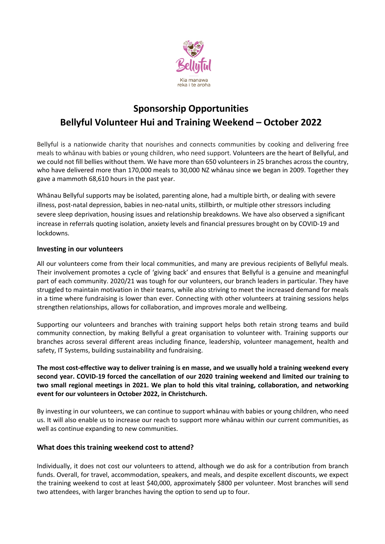

# **Sponsorship Opportunities Bellyful Volunteer Hui and Training Weekend – October 2022**

Bellyful is a nationwide charity that nourishes and connects communities by cooking and delivering free meals to whānau with babies or young children, who need support. Volunteers are the heart of Bellyful, and we could not fill bellies without them. We have more than 650 volunteers in 25 branches across the country, who have delivered more than 170,000 meals to 30,000 NZ whānau since we began in 2009. Together they gave a mammoth 68,610 hours in the past year.

Whānau Bellyful supports may be isolated, parenting alone, had a multiple birth, or dealing with severe illness, post-natal depression, babies in neo-natal units, stillbirth, or multiple other stressors including severe sleep deprivation, housing issues and relationship breakdowns. We have also observed a significant increase in referrals quoting isolation, anxiety levels and financial pressures brought on by COVID-19 and lockdowns.

#### **Investing in our volunteers**

All our volunteers come from their local communities, and many are previous recipients of Bellyful meals. Their involvement promotes a cycle of 'giving back' and ensures that Bellyful is a genuine and meaningful part of each community. 2020/21 was tough for our volunteers, our branch leaders in particular. They have struggled to maintain motivation in their teams, while also striving to meet the increased demand for meals in a time where fundraising is lower than ever. Connecting with other volunteers at training sessions helps strengthen relationships, allows for collaboration, and improves morale and wellbeing.

Supporting our volunteers and branches with training support helps both retain strong teams and build community connection, by making Bellyful a great organisation to volunteer with. Training supports our branches across several different areas including finance, leadership, volunteer management, health and safety, IT Systems, building sustainability and fundraising.

**The most cost-effective way to deliver training is en masse, and we usually hold a training weekend every second year. COVID-19 forced the cancellation of our 2020 training weekend and limited our training to two small regional meetings in 2021. We plan to hold this vital training, collaboration, and networking event for our volunteers in October 2022, in Christchurch.** 

By investing in our volunteers, we can continue to support whānau with babies or young children, who need us. It will also enable us to increase our reach to support more whānau within our current communities, as well as continue expanding to new communities.

#### **What does this training weekend cost to attend?**

Individually, it does not cost our volunteers to attend, although we do ask for a contribution from branch funds. Overall, for travel, accommodation, speakers, and meals, and despite excellent discounts, we expect the training weekend to cost at least \$40,000, approximately \$800 per volunteer. Most branches will send two attendees, with larger branches having the option to send up to four.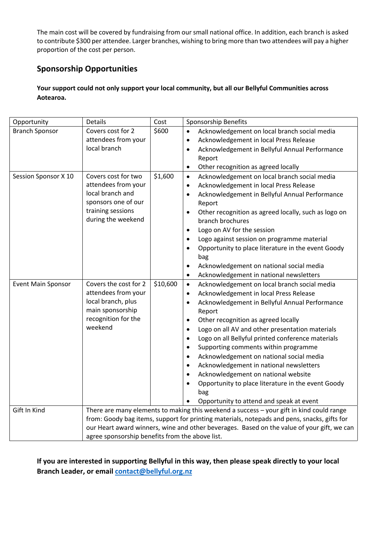The main cost will be covered by fundraising from our small national office. In addition, each branch is asked to contribute \$300 per attendee. Larger branches, wishing to bring more than two attendees will pay a higher proportion of the cost per person.

## **Sponsorship Opportunities**

### **Your support could not only support your local community, but all our Bellyful Communities across Aotearoa.**

| Opportunity               | Details                                                                                     | Cost     | Sponsorship Benefits                                                  |
|---------------------------|---------------------------------------------------------------------------------------------|----------|-----------------------------------------------------------------------|
| <b>Branch Sponsor</b>     | Covers cost for 2                                                                           | \$600    | Acknowledgement on local branch social media<br>$\bullet$             |
|                           | attendees from your                                                                         |          | Acknowledgement in local Press Release<br>$\bullet$                   |
|                           | local branch                                                                                |          | Acknowledgement in Bellyful Annual Performance<br>$\bullet$           |
|                           |                                                                                             |          | Report                                                                |
|                           |                                                                                             |          | Other recognition as agreed locally<br>$\bullet$                      |
| Session Sponsor X 10      | Covers cost for two                                                                         | \$1,600  | Acknowledgement on local branch social media<br>$\bullet$             |
|                           | attendees from your                                                                         |          | Acknowledgement in local Press Release<br>$\bullet$                   |
|                           | local branch and                                                                            |          | Acknowledgement in Bellyful Annual Performance<br>$\bullet$           |
|                           | sponsors one of our                                                                         |          | Report                                                                |
|                           | training sessions                                                                           |          | Other recognition as agreed locally, such as logo on<br>$\bullet$     |
|                           | during the weekend                                                                          |          | branch brochures                                                      |
|                           |                                                                                             |          | Logo on AV for the session<br>$\bullet$                               |
|                           |                                                                                             |          | Logo against session on programme material<br>$\bullet$               |
|                           |                                                                                             |          | Opportunity to place literature in the event Goody<br>$\bullet$       |
|                           |                                                                                             |          | bag                                                                   |
|                           |                                                                                             |          | Acknowledgement on national social media<br>$\bullet$                 |
|                           |                                                                                             |          | Acknowledgement in national newsletters<br>$\bullet$                  |
| <b>Event Main Sponsor</b> | Covers the cost for 2                                                                       | \$10,600 | Acknowledgement on local branch social media<br>$\bullet$             |
|                           | attendees from your                                                                         |          | Acknowledgement in local Press Release<br>$\bullet$                   |
|                           | local branch, plus<br>main sponsorship                                                      |          | Acknowledgement in Bellyful Annual Performance<br>$\bullet$<br>Report |
|                           | recognition for the                                                                         |          | Other recognition as agreed locally<br>$\bullet$                      |
|                           | weekend                                                                                     |          | Logo on all AV and other presentation materials<br>$\bullet$          |
|                           |                                                                                             |          | Logo on all Bellyful printed conference materials<br>$\bullet$        |
|                           |                                                                                             |          | Supporting comments within programme<br>$\bullet$                     |
|                           |                                                                                             |          | Acknowledgement on national social media<br>$\bullet$                 |
|                           |                                                                                             |          | Acknowledgement in national newsletters<br>$\bullet$                  |
|                           |                                                                                             |          | Acknowledgement on national website<br>$\bullet$                      |
|                           |                                                                                             |          | Opportunity to place literature in the event Goody<br>$\bullet$       |
|                           |                                                                                             |          | bag                                                                   |
|                           |                                                                                             |          | Opportunity to attend and speak at event                              |
| Gift In Kind              | There are many elements to making this weekend a success - your gift in kind could range    |          |                                                                       |
|                           | from: Goody bag items, support for printing materials, notepads and pens, snacks, gifts for |          |                                                                       |
|                           | our Heart award winners, wine and other beverages. Based on the value of your gift, we can  |          |                                                                       |
|                           | agree sponsorship benefits from the above list.                                             |          |                                                                       |

**If you are interested in supporting Bellyful in this way, then please speak directly to your local Branch Leader, or email contact@bellyful.org.nz**